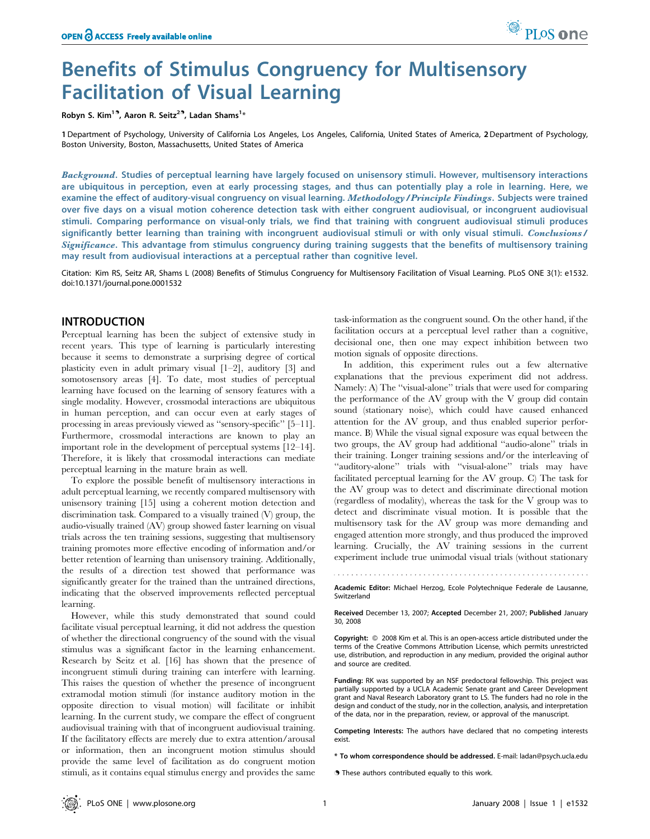# Benefits of Stimulus Congruency for Multisensory Facilitation of Visual Learning

Robyn S. Kim<sup>1.9</sup>, Aaron R. Seitz<sup>2.9</sup>, Ladan Shams<sup>1</sup>\*

1Department of Psychology, University of California Los Angeles, Los Angeles, California, United States of America, 2Department of Psychology, Boston University, Boston, Massachusetts, United States of America

Background. Studies of perceptual learning have largely focused on unisensory stimuli. However, multisensory interactions are ubiquitous in perception, even at early processing stages, and thus can potentially play a role in learning. Here, we examine the effect of auditory-visual congruency on visual learning. Methodology/Principle Findings. Subjects were trained over five days on a visual motion coherence detection task with either congruent audiovisual, or incongruent audiovisual stimuli. Comparing performance on visual-only trials, we find that training with congruent audiovisual stimuli produces significantly better learning than training with incongruent audiovisual stimuli or with only visual stimuli. Conclusions/ Significance. This advantage from stimulus congruency during training suggests that the benefits of multisensory training may result from audiovisual interactions at a perceptual rather than cognitive level.

Citation: Kim RS, Seitz AR, Shams L (2008) Benefits of Stimulus Congruency for Multisensory Facilitation of Visual Learning. PLoS ONE 3(1): e1532. doi:10.1371/journal.pone.0001532

# INTRODUCTION

Perceptual learning has been the subject of extensive study in recent years. This type of learning is particularly interesting because it seems to demonstrate a surprising degree of cortical plasticity even in adult primary visual [1–2], auditory [3] and somotosensory areas [4]. To date, most studies of perceptual learning have focused on the learning of sensory features with a single modality. However, crossmodal interactions are ubiquitous in human perception, and can occur even at early stages of processing in areas previously viewed as ''sensory-specific'' [5–11]. Furthermore, crossmodal interactions are known to play an important role in the development of perceptual systems [12–14]. Therefore, it is likely that crossmodal interactions can mediate perceptual learning in the mature brain as well.

To explore the possible benefit of multisensory interactions in adult perceptual learning, we recently compared multisensory with unisensory training [15] using a coherent motion detection and discrimination task. Compared to a visually trained (V) group, the audio-visually trained (AV) group showed faster learning on visual trials across the ten training sessions, suggesting that multisensory training promotes more effective encoding of information and/or better retention of learning than unisensory training. Additionally, the results of a direction test showed that performance was significantly greater for the trained than the untrained directions, indicating that the observed improvements reflected perceptual learning.

However, while this study demonstrated that sound could facilitate visual perceptual learning, it did not address the question of whether the directional congruency of the sound with the visual stimulus was a significant factor in the learning enhancement. Research by Seitz et al. [16] has shown that the presence of incongruent stimuli during training can interfere with learning. This raises the question of whether the presence of incongruent extramodal motion stimuli (for instance auditory motion in the opposite direction to visual motion) will facilitate or inhibit learning. In the current study, we compare the effect of congruent audiovisual training with that of incongruent audiovisual training. If the facilitatory effects are merely due to extra attention/arousal or information, then an incongruent motion stimulus should provide the same level of facilitation as do congruent motion stimuli, as it contains equal stimulus energy and provides the same

task-information as the congruent sound. On the other hand, if the facilitation occurs at a perceptual level rather than a cognitive, decisional one, then one may expect inhibition between two motion signals of opposite directions.

PLoS one

In addition, this experiment rules out a few alternative explanations that the previous experiment did not address. Namely: A) The ''visual-alone'' trials that were used for comparing the performance of the AV group with the V group did contain sound (stationary noise), which could have caused enhanced attention for the AV group, and thus enabled superior performance. B) While the visual signal exposure was equal between the two groups, the AV group had additional ''audio-alone'' trials in their training. Longer training sessions and/or the interleaving of ''auditory-alone'' trials with ''visual-alone'' trials may have facilitated perceptual learning for the AV group. C) The task for the AV group was to detect and discriminate directional motion (regardless of modality), whereas the task for the V group was to detect and discriminate visual motion. It is possible that the multisensory task for the AV group was more demanding and engaged attention more strongly, and thus produced the improved learning. Crucially, the AV training sessions in the current experiment include true unimodal visual trials (without stationary

Academic Editor: Michael Herzog, Ecole Polytechnique Federale de Lausanne, Switzerland

Received December 13, 2007; Accepted December 21, 2007; Published January 30, 2008

Copyright: 2008 Kim et al. This is an open-access article distributed under the terms of the Creative Commons Attribution License, which permits unrestricted use, distribution, and reproduction in any medium, provided the original author and source are credited.

Funding: RK was supported by an NSF predoctoral fellowship. This project was partially supported by a UCLA Academic Senate grant and Career Development grant and Naval Research Laboratory grant to LS. The funders had no role in the design and conduct of the study, nor in the collection, analysis, and interpretation of the data, nor in the preparation, review, or approval of the manuscript.

Competing Interests: The authors have declared that no competing interests exist.

\* To whom correspondence should be addressed. E-mail: ladan@psych.ucla.edu

. These authors contributed equally to this work.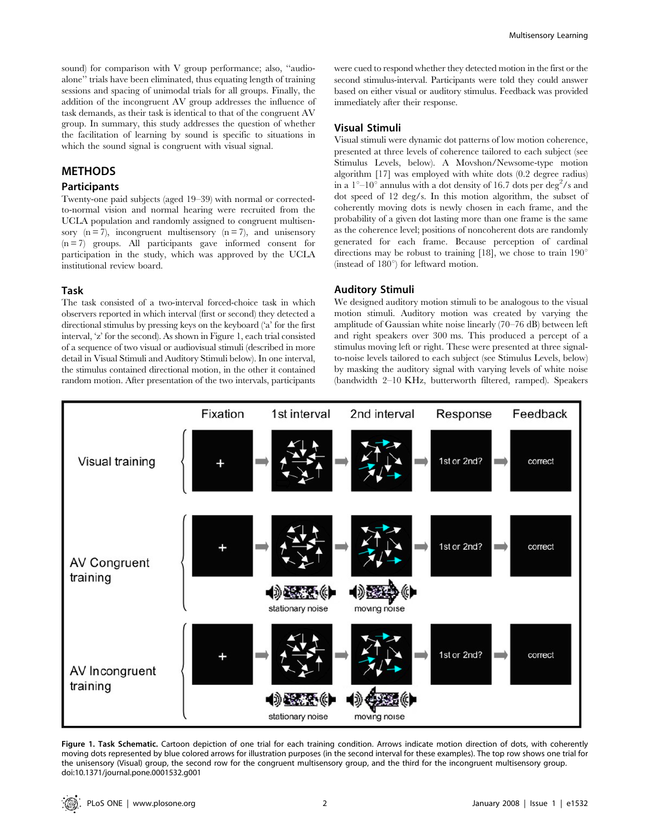sound) for comparison with V group performance; also, "audioalone'' trials have been eliminated, thus equating length of training sessions and spacing of unimodal trials for all groups. Finally, the addition of the incongruent AV group addresses the influence of task demands, as their task is identical to that of the congruent AV group. In summary, this study addresses the question of whether the facilitation of learning by sound is specific to situations in which the sound signal is congruent with visual signal.

# METHODS

## **Participants**

Twenty-one paid subjects (aged 19–39) with normal or correctedto-normal vision and normal hearing were recruited from the UCLA population and randomly assigned to congruent multisensory  $(n = 7)$ , incongruent multisensory  $(n = 7)$ , and unisensory  $(n = 7)$  groups. All participants gave informed consent for participation in the study, which was approved by the UCLA institutional review board.

## Task

The task consisted of a two-interval forced-choice task in which observers reported in which interval (first or second) they detected a directional stimulus by pressing keys on the keyboard ('a' for the first interval, 'z' for the second). As shown in Figure 1, each trial consisted of a sequence of two visual or audiovisual stimuli (described in more detail in Visual Stimuli and Auditory Stimuli below). In one interval, the stimulus contained directional motion, in the other it contained random motion. After presentation of the two intervals, participants were cued to respond whether they detected motion in the first or the second stimulus-interval. Participants were told they could answer based on either visual or auditory stimulus. Feedback was provided immediately after their response.

## Visual Stimuli

Visual stimuli were dynamic dot patterns of low motion coherence, presented at three levels of coherence tailored to each subject (see Stimulus Levels, below). A Movshon/Newsome-type motion algorithm [17] was employed with white dots (0.2 degree radius) in a  $1^\circ$ -10 $^\circ$  annulus with a dot density of 16.7 dots per deg<sup>2</sup>/s and dot speed of 12 deg/s. In this motion algorithm, the subset of coherently moving dots is newly chosen in each frame, and the probability of a given dot lasting more than one frame is the same as the coherence level; positions of noncoherent dots are randomly generated for each frame. Because perception of cardinal directions may be robust to training [18], we chose to train  $190^\circ$ (instead of  $180^{\circ}$ ) for leftward motion.

## Auditory Stimuli

We designed auditory motion stimuli to be analogous to the visual motion stimuli. Auditory motion was created by varying the amplitude of Gaussian white noise linearly (70–76 dB) between left and right speakers over 300 ms. This produced a percept of a stimulus moving left or right. These were presented at three signalto-noise levels tailored to each subject (see Stimulus Levels, below) by masking the auditory signal with varying levels of white noise (bandwidth 2–10 KHz, butterworth filtered, ramped). Speakers



Figure 1. Task Schematic. Cartoon depiction of one trial for each training condition. Arrows indicate motion direction of dots, with coherently moving dots represented by blue colored arrows for illustration purposes (in the second interval for these examples). The top row shows one trial for the unisensory (Visual) group, the second row for the congruent multisensory group, and the third for the incongruent multisensory group. doi:10.1371/journal.pone.0001532.g001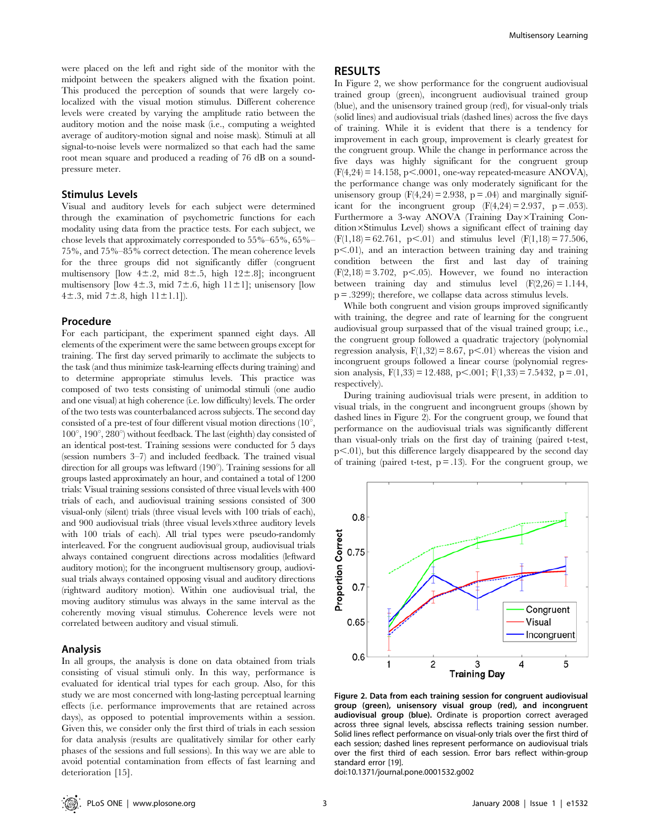were placed on the left and right side of the monitor with the midpoint between the speakers aligned with the fixation point. This produced the perception of sounds that were largely colocalized with the visual motion stimulus. Different coherence levels were created by varying the amplitude ratio between the auditory motion and the noise mask (i.e., computing a weighted average of auditory-motion signal and noise mask). Stimuli at all signal-to-noise levels were normalized so that each had the same root mean square and produced a reading of 76 dB on a soundpressure meter.

#### Stimulus Levels

Visual and auditory levels for each subject were determined through the examination of psychometric functions for each modality using data from the practice tests. For each subject, we chose levels that approximately corresponded to 55%–65%, 65%– 75%, and 75%–85% correct detection. The mean coherence levels for the three groups did not significantly differ (congruent multisensory [low  $4\pm .2$ , mid  $8\pm .5$ , high  $12\pm .8$ ]; incongruent multisensory flow  $4\pm 0.3$ , mid  $7\pm 0.6$ , high  $11\pm 1$ ; unisensory flow  $4\pm.3$ , mid  $7\pm.8$ , high  $11\pm1.1$ ].

#### Procedure

For each participant, the experiment spanned eight days. All elements of the experiment were the same between groups except for training. The first day served primarily to acclimate the subjects to the task (and thus minimize task-learning effects during training) and to determine appropriate stimulus levels. This practice was composed of two tests consisting of unimodal stimuli (one audio and one visual) at high coherence (i.e. low difficulty) levels. The order of the two tests was counterbalanced across subjects. The second day consisted of a pre-test of four different visual motion directions  $(10^{\circ},$  $100^\circ$ ,  $190^\circ$ ,  $280^\circ$ ) without feedback. The last (eighth) day consisted of an identical post-test. Training sessions were conducted for 5 days (session numbers 3–7) and included feedback. The trained visual direction for all groups was leftward  $(190^{\circ})$ . Training sessions for all groups lasted approximately an hour, and contained a total of 1200 trials: Visual training sessions consisted of three visual levels with 400 trials of each, and audiovisual training sessions consisted of 300 visual-only (silent) trials (three visual levels with 100 trials of each), and  $900$  audiovisual trials (three visual levels $\times$ three auditory levels with 100 trials of each). All trial types were pseudo-randomly interleaved. For the congruent audiovisual group, audiovisual trials always contained congruent directions across modalities (leftward auditory motion); for the incongruent multisensory group, audiovisual trials always contained opposing visual and auditory directions (rightward auditory motion). Within one audiovisual trial, the moving auditory stimulus was always in the same interval as the coherently moving visual stimulus. Coherence levels were not correlated between auditory and visual stimuli.

## Analysis

In all groups, the analysis is done on data obtained from trials consisting of visual stimuli only. In this way, performance is evaluated for identical trial types for each group. Also, for this study we are most concerned with long-lasting perceptual learning effects (i.e. performance improvements that are retained across days), as opposed to potential improvements within a session. Given this, we consider only the first third of trials in each session for data analysis (results are qualitatively similar for other early phases of the sessions and full sessions). In this way we are able to avoid potential contamination from effects of fast learning and deterioration [15].

#### RESULTS

In Figure 2, we show performance for the congruent audiovisual trained group (green), incongruent audiovisual trained group (blue), and the unisensory trained group (red), for visual-only trials (solid lines) and audiovisual trials (dashed lines) across the five days of training. While it is evident that there is a tendency for improvement in each group, improvement is clearly greatest for the congruent group. While the change in performance across the five days was highly significant for the congruent group  $(F(4,24) = 14.158, p<.0001,$  one-way repeated-measure ANOVA), the performance change was only moderately significant for the unisensory group  $(F(4,24) = 2.938, p = .04)$  and marginally significant for the incongruent group  $(F(4,24) = 2.937, p = .053)$ . Furthermore a 3-way ANOVA (Training Day×Training Condition×Stimulus Level) shows a significant effect of training day  $(F(1,18) = 62.761, p\le.01)$  and stimulus level  $(F(1,18) = 77.506,$  $p<.01$ ), and an interaction between training day and training condition between the first and last day of training  $(F(2,18) = 3.702, p \le .05)$ . However, we found no interaction between training day and stimulus level  $(F(2,26) = 1.144,$ p = .3299); therefore, we collapse data across stimulus levels.

While both congruent and vision groups improved significantly with training, the degree and rate of learning for the congruent audiovisual group surpassed that of the visual trained group; i.e., the congruent group followed a quadratic trajectory (polynomial regression analysis,  $F(1,32) = 8.67$ ,  $p<.01$ ) whereas the vision and incongruent groups followed a linear course (polynomial regression analysis,  $F(1,33) = 12.488$ ,  $p<.001$ ;  $F(1,33) = 7.5432$ ,  $p = .01$ , respectively).

During training audiovisual trials were present, in addition to visual trials, in the congruent and incongruent groups (shown by dashed lines in Figure 2). For the congruent group, we found that performance on the audiovisual trials was significantly different than visual-only trials on the first day of training (paired t-test,  $p<.01$ ), but this difference largely disappeared by the second day of training (paired t-test,  $p = .13$ ). For the congruent group, we



Figure 2. Data from each training session for congruent audiovisual group (green), unisensory visual group (red), and incongruent audiovisual group (blue). Ordinate is proportion correct averaged across three signal levels, abscissa reflects training session number. Solid lines reflect performance on visual-only trials over the first third of each session; dashed lines represent performance on audiovisual trials over the first third of each session. Error bars reflect within-group standard error [19].

doi:10.1371/journal.pone.0001532.g002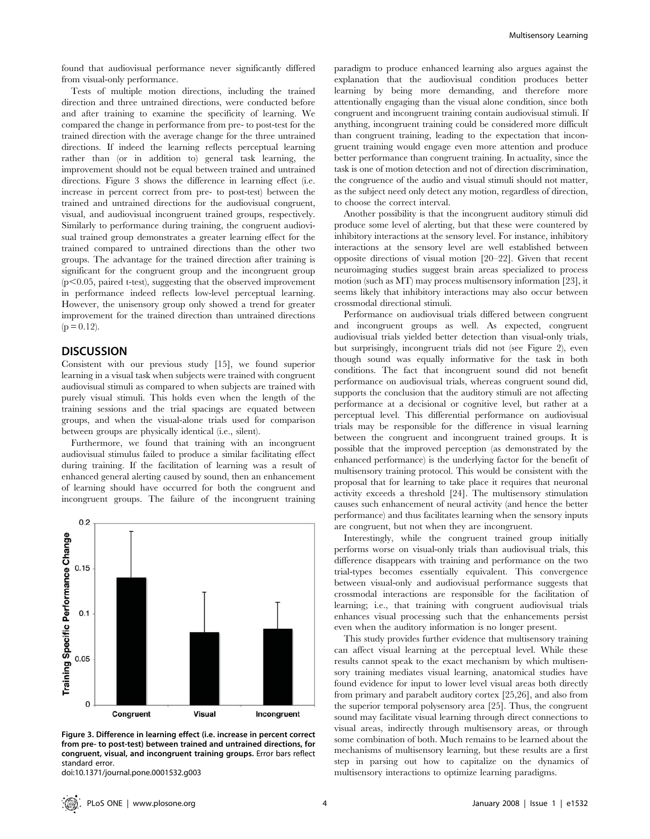found that audiovisual performance never significantly differed from visual-only performance.

Tests of multiple motion directions, including the trained direction and three untrained directions, were conducted before and after training to examine the specificity of learning. We compared the change in performance from pre- to post-test for the trained direction with the average change for the three untrained directions. If indeed the learning reflects perceptual learning rather than (or in addition to) general task learning, the improvement should not be equal between trained and untrained directions. Figure 3 shows the difference in learning effect (i.e. increase in percent correct from pre- to post-test) between the trained and untrained directions for the audiovisual congruent, visual, and audiovisual incongruent trained groups, respectively. Similarly to performance during training, the congruent audiovisual trained group demonstrates a greater learning effect for the trained compared to untrained directions than the other two groups. The advantage for the trained direction after training is significant for the congruent group and the incongruent group  $(p<0.05$ , paired t-test), suggesting that the observed improvement in performance indeed reflects low-level perceptual learning. However, the unisensory group only showed a trend for greater improvement for the trained direction than untrained directions  $(p = 0.12)$ .

# **DISCUSSION**

Consistent with our previous study [15], we found superior learning in a visual task when subjects were trained with congruent audiovisual stimuli as compared to when subjects are trained with purely visual stimuli. This holds even when the length of the training sessions and the trial spacings are equated between groups, and when the visual-alone trials used for comparison between groups are physically identical (i.e., silent).

Furthermore, we found that training with an incongruent audiovisual stimulus failed to produce a similar facilitating effect during training. If the facilitation of learning was a result of enhanced general alerting caused by sound, then an enhancement of learning should have occurred for both the congruent and incongruent groups. The failure of the incongruent training



Figure 3. Difference in learning effect (i.e. increase in percent correct from pre- to post-test) between trained and untrained directions, for congruent, visual, and incongruent training groups. Error bars reflect standard error.

doi:10.1371/journal.pone.0001532.g003

paradigm to produce enhanced learning also argues against the explanation that the audiovisual condition produces better learning by being more demanding, and therefore more attentionally engaging than the visual alone condition, since both congruent and incongruent training contain audiovisual stimuli. If anything, incongruent training could be considered more difficult than congruent training, leading to the expectation that incongruent training would engage even more attention and produce better performance than congruent training. In actuality, since the task is one of motion detection and not of direction discrimination, the congruence of the audio and visual stimuli should not matter, as the subject need only detect any motion, regardless of direction, to choose the correct interval.

Another possibility is that the incongruent auditory stimuli did produce some level of alerting, but that these were countered by inhibitory interactions at the sensory level. For instance, inhibitory interactions at the sensory level are well established between opposite directions of visual motion [20–22]. Given that recent neuroimaging studies suggest brain areas specialized to process motion (such as MT) may process multisensory information [23], it seems likely that inhibitory interactions may also occur between crossmodal directional stimuli.

Performance on audiovisual trials differed between congruent and incongruent groups as well. As expected, congruent audiovisual trials yielded better detection than visual-only trials, but surprisingly, incongruent trials did not (see Figure 2), even though sound was equally informative for the task in both conditions. The fact that incongruent sound did not benefit performance on audiovisual trials, whereas congruent sound did, supports the conclusion that the auditory stimuli are not affecting performance at a decisional or cognitive level, but rather at a perceptual level. This differential performance on audiovisual trials may be responsible for the difference in visual learning between the congruent and incongruent trained groups. It is possible that the improved perception (as demonstrated by the enhanced performance) is the underlying factor for the benefit of multisensory training protocol. This would be consistent with the proposal that for learning to take place it requires that neuronal activity exceeds a threshold [24]. The multisensory stimulation causes such enhancement of neural activity (and hence the better performance) and thus facilitates learning when the sensory inputs are congruent, but not when they are incongruent.

Interestingly, while the congruent trained group initially performs worse on visual-only trials than audiovisual trials, this difference disappears with training and performance on the two trial-types becomes essentially equivalent. This convergence between visual-only and audiovisual performance suggests that crossmodal interactions are responsible for the facilitation of learning; i.e., that training with congruent audiovisual trials enhances visual processing such that the enhancements persist even when the auditory information is no longer present.

This study provides further evidence that multisensory training can affect visual learning at the perceptual level. While these results cannot speak to the exact mechanism by which multisensory training mediates visual learning, anatomical studies have found evidence for input to lower level visual areas both directly from primary and parabelt auditory cortex [25,26], and also from the superior temporal polysensory area [25]. Thus, the congruent sound may facilitate visual learning through direct connections to visual areas, indirectly through multisensory areas, or through some combination of both. Much remains to be learned about the mechanisms of multisensory learning, but these results are a first step in parsing out how to capitalize on the dynamics of multisensory interactions to optimize learning paradigms.